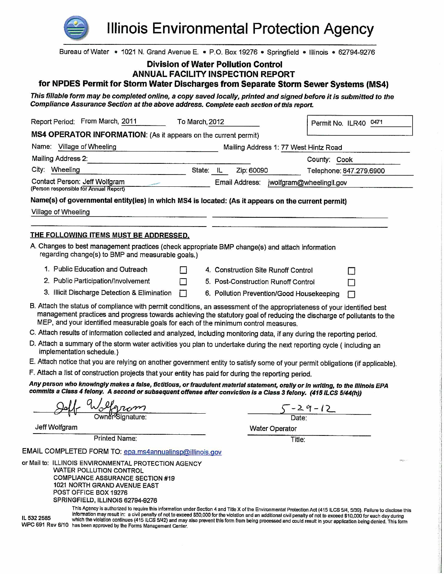

WPC 691 Rev 6/10 has been approved by the Forms Management Center.

**Illinois Environmental Protection Agency** 

| Bureau of Water • 1021 N. Grand Avenue E. • P.O. Box 19276 • Springfield • Illinois • 62794-9276                                                                                                                                                                                                                                                                                                       |   |                                            |                                         |                         |    |  |
|--------------------------------------------------------------------------------------------------------------------------------------------------------------------------------------------------------------------------------------------------------------------------------------------------------------------------------------------------------------------------------------------------------|---|--------------------------------------------|-----------------------------------------|-------------------------|----|--|
|                                                                                                                                                                                                                                                                                                                                                                                                        |   | <b>Division of Water Pollution Control</b> |                                         |                         |    |  |
|                                                                                                                                                                                                                                                                                                                                                                                                        |   | <b>ANNUAL FACILITY INSPECTION REPORT</b>   |                                         |                         |    |  |
| for NPDES Permit for Storm Water Discharges from Separate Storm Sewer Systems (MS4)                                                                                                                                                                                                                                                                                                                    |   |                                            |                                         |                         |    |  |
| This fillable form may be completed online, a copy saved locally, printed and signed before it is submitted to the<br>Compliance Assurance Section at the above address. Complete each section of this report.                                                                                                                                                                                         |   |                                            |                                         |                         |    |  |
| Report Period: From March, 2011<br>To March, 2012                                                                                                                                                                                                                                                                                                                                                      |   |                                            |                                         | Permit No. ILR40 0471   |    |  |
| MS4 OPERATOR INFORMATION: (As it appears on the current permit)                                                                                                                                                                                                                                                                                                                                        |   |                                            |                                         |                         |    |  |
| Name: Village of Wheeling                                                                                                                                                                                                                                                                                                                                                                              |   |                                            | Mailing Address 1: 77 West Hintz Road   |                         |    |  |
| Mailing Address 2:                                                                                                                                                                                                                                                                                                                                                                                     |   |                                            |                                         | County: Cook            |    |  |
| City: Wheeling                                                                                                                                                                                                                                                                                                                                                                                         |   | State: IL<br>Zip: 60090                    |                                         | Telephone: 847.279.6900 |    |  |
| Contact Person: Jeff Wolfgram<br>(Person responsible for Annual Report)                                                                                                                                                                                                                                                                                                                                |   |                                            | Email Address: jwolfgram@wheelingil.gov |                         |    |  |
| Name(s) of governmental entity(ies) in which MS4 is located: (As it appears on the current permit)                                                                                                                                                                                                                                                                                                     |   |                                            |                                         |                         |    |  |
| Village of Wheeling                                                                                                                                                                                                                                                                                                                                                                                    |   |                                            |                                         |                         |    |  |
|                                                                                                                                                                                                                                                                                                                                                                                                        |   |                                            |                                         |                         |    |  |
| THE FOLLOWING ITEMS MUST BE ADDRESSED.                                                                                                                                                                                                                                                                                                                                                                 |   |                                            |                                         |                         |    |  |
| A. Changes to best management practices (check appropriate BMP change(s) and attach information<br>regarding change(s) to BMP and measurable goals.)                                                                                                                                                                                                                                                   |   |                                            |                                         |                         |    |  |
| 1. Public Education and Outreach                                                                                                                                                                                                                                                                                                                                                                       | П | 4. Construction Site Runoff Control        |                                         |                         | n. |  |
| 2. Public Participation/Involvement                                                                                                                                                                                                                                                                                                                                                                    | П | 5. Post-Construction Runoff Control        |                                         |                         | П  |  |
| 3. Illicit Discharge Detection & Elimination                                                                                                                                                                                                                                                                                                                                                           | П | 6. Pollution Prevention/Good Housekeeping  |                                         |                         | П  |  |
| B. Attach the status of compliance with permit conditions, an assessment of the appropriateness of your identified best<br>management practices and progress towards achieving the statutory goal of reducing the discharge of pollutants to the<br>MEP, and your identified measurable goals for each of the minimum control measures.                                                                |   |                                            |                                         |                         |    |  |
| C. Attach results of information collected and analyzed, including monitoring data, if any during the reporting period.                                                                                                                                                                                                                                                                                |   |                                            |                                         |                         |    |  |
| D. Attach a summary of the storm water activities you plan to undertake during the next reporting cycle (including an<br>implementation schedule.)                                                                                                                                                                                                                                                     |   |                                            |                                         |                         |    |  |
| E. Attach notice that you are relying on another government entity to satisfy some of your permit obligations (if applicable).                                                                                                                                                                                                                                                                         |   |                                            |                                         |                         |    |  |
| F. Attach a list of construction projects that your entity has paid for during the reporting period.                                                                                                                                                                                                                                                                                                   |   |                                            |                                         |                         |    |  |
| Any person who knowingly makes a false, fictitious, or fraudulent material statement, orally or in writing, to the Illinois EPA<br>commits a Class 4 felony. A second or subsequent offense after conviction is a Class 3 felony. (415 ILCS 5/44(h))                                                                                                                                                   |   |                                            |                                         |                         |    |  |
|                                                                                                                                                                                                                                                                                                                                                                                                        |   |                                            |                                         |                         |    |  |
|                                                                                                                                                                                                                                                                                                                                                                                                        |   |                                            |                                         | $5 - 29 - 12$<br>Date:  |    |  |
| Jeff Wolfgram                                                                                                                                                                                                                                                                                                                                                                                          |   |                                            | Water Operator                          |                         |    |  |
| <b>Printed Name:</b>                                                                                                                                                                                                                                                                                                                                                                                   |   |                                            | Title:                                  |                         |    |  |
| EMAIL COMPLETED FORM TO: epa.ms4annualinsp@illinois.gov                                                                                                                                                                                                                                                                                                                                                |   |                                            |                                         |                         |    |  |
| or Mail to: ILLINOIS ENVIRONMENTAL PROTECTION AGENCY<br><b>WATER POLLUTION CONTROL</b><br><b>COMPLIANCE ASSURANCE SECTION #19</b><br>1021 NORTH GRAND AVENUE EAST<br>POST OFFICE BOX 19276<br>SPRINGFIELD, ILLINOIS 62794-9276<br>This Agency is authorized to require this information under Section 4 and Title X of the Environmental Protection Act (415 ILCS 5/4, 5/39). Failure to disclose this |   |                                            |                                         |                         |    |  |
| information may result in: a civil penalty of not to exceed \$50,000 for the violation and an additional civil penalty of not to exceed \$10,000 for each day during<br>IL 532 2585<br>which the violation continues (415 ILCS 5/42) and may also prevent this form from being processed and could result in your application being denied. This form                                                  |   |                                            |                                         |                         |    |  |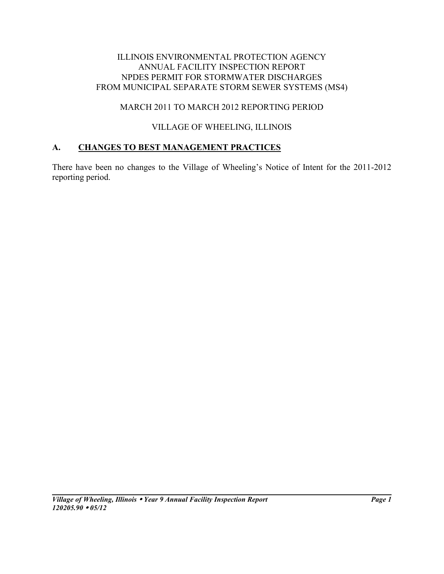#### ILLINOIS ENVIRONMENTAL PROTECTION AGENCY ANNUAL FACILITY INSPECTION REPORT NPDES PERMIT FOR STORMWATER DISCHARGES FROM MUNICIPAL SEPARATE STORM SEWER SYSTEMS (MS4)

# MARCH 2011 TO MARCH 2012 REPORTING PERIOD

# VILLAGE OF WHEELING, ILLINOIS

# **A. CHANGES TO BEST MANAGEMENT PRACTICES**

There have been no changes to the Village of Wheeling's Notice of Intent for the 2011-2012 reporting period.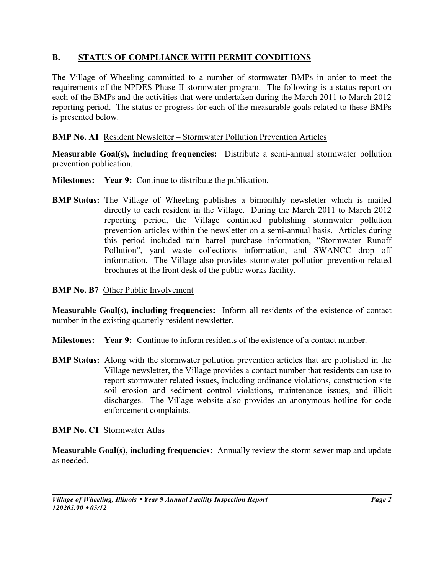# **B. STATUS OF COMPLIANCE WITH PERMIT CONDITIONS**

The Village of Wheeling committed to a number of stormwater BMPs in order to meet the requirements of the NPDES Phase II stormwater program. The following is a status report on each of the BMPs and the activities that were undertaken during the March 2011 to March 2012 reporting period. The status or progress for each of the measurable goals related to these BMPs is presented below.

# **BMP No. A1** Resident Newsletter – Stormwater Pollution Prevention Articles

**Measurable Goal(s), including frequencies:** Distribute a semi-annual stormwater pollution prevention publication.

- **Milestones:** Year 9: Continue to distribute the publication.
- **BMP Status:** The Village of Wheeling publishes a bimonthly newsletter which is mailed directly to each resident in the Village. During the March 2011 to March 2012 reporting period, the Village continued publishing stormwater pollution prevention articles within the newsletter on a semi-annual basis. Articles during this period included rain barrel purchase information, "Stormwater Runoff Pollution", yard waste collections information, and SWANCC drop off information. The Village also provides stormwater pollution prevention related brochures at the front desk of the public works facility.

### **BMP No. B7** Other Public Involvement

**Measurable Goal(s), including frequencies:** Inform all residents of the existence of contact number in the existing quarterly resident newsletter.

- **Milestones: Year 9:** Continue to inform residents of the existence of a contact number.
- **BMP Status:** Along with the stormwater pollution prevention articles that are published in the Village newsletter, the Village provides a contact number that residents can use to report stormwater related issues, including ordinance violations, construction site soil erosion and sediment control violations, maintenance issues, and illicit discharges. The Village website also provides an anonymous hotline for code enforcement complaints.

## **BMP No. C1** Stormwater Atlas

**Measurable Goal(s), including frequencies:** Annually review the storm sewer map and update as needed.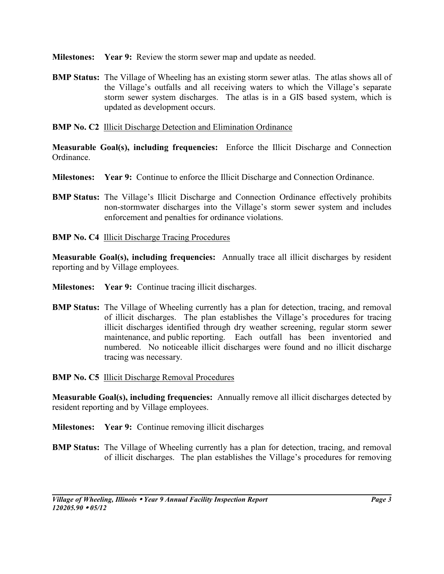**Milestones: Year 9:** Review the storm sewer map and update as needed.

**BMP Status:** The Village of Wheeling has an existing storm sewer atlas. The atlas shows all of the Village's outfalls and all receiving waters to which the Village's separate storm sewer system discharges. The atlas is in a GIS based system, which is updated as development occurs.

### **BMP No. C2** Illicit Discharge Detection and Elimination Ordinance

**Measurable Goal(s), including frequencies:** Enforce the Illicit Discharge and Connection Ordinance.

- **Milestones: Year 9:** Continue to enforce the Illicit Discharge and Connection Ordinance.
- **BMP Status:** The Village's Illicit Discharge and Connection Ordinance effectively prohibits non-stormwater discharges into the Village's storm sewer system and includes enforcement and penalties for ordinance violations.
- **BMP No. C4** Illicit Discharge Tracing Procedures

**Measurable Goal(s), including frequencies:** Annually trace all illicit discharges by resident reporting and by Village employees.

- **Milestones: Year 9:** Continue tracing illicit discharges.
- **BMP Status:** The Village of Wheeling currently has a plan for detection, tracing, and removal of illicit discharges. The plan establishes the Village's procedures for tracing illicit discharges identified through dry weather screening, regular storm sewer maintenance, and public reporting. Each outfall has been inventoried and numbered. No noticeable illicit discharges were found and no illicit discharge tracing was necessary.
- **BMP No. C5** Illicit Discharge Removal Procedures

**Measurable Goal(s), including frequencies:** Annually remove all illicit discharges detected by resident reporting and by Village employees.

- **Milestones: Year 9:** Continue removing illicit discharges
- **BMP Status:** The Village of Wheeling currently has a plan for detection, tracing, and removal of illicit discharges. The plan establishes the Village's procedures for removing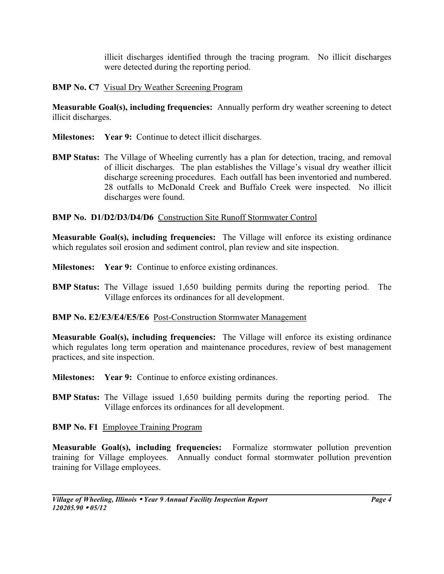illicit discharges identified through the tracing program. No illicit discharges were detected during the reporting period.

## **BMP No. C7** Visual Dry Weather Screening Program

**Measurable Goal(s), including frequencies:** Annually perform dry weather screening to detect illicit discharges.

- **Milestones:** Year 9: Continue to detect illicit discharges.
- **BMP Status:** The Village of Wheeling currently has a plan for detection, tracing, and removal of illicit discharges. The plan establishes the Village's visual dry weather illicit discharge screening procedures. Each outfall has been inventoried and numbered. 28 outfalls to McDonald Creek and Buffalo Creek were inspected. No illicit discharges were found.

## **BMP No. D1/D2/D3/D4/D6** Construction Site Runoff Stormwater Control

**Measurable Goal(s), including frequencies:** The Village will enforce its existing ordinance which regulates soil erosion and sediment control, plan review and site inspection.

- **Milestones: Year 9:** Continue to enforce existing ordinances.
- **BMP Status:** The Village issued 1,650 building permits during the reporting period. The Village enforces its ordinances for all development.

## **BMP No. E2/E3/E4/E5/E6** Post-Construction Stormwater Management

**Measurable Goal(s), including frequencies:** The Village will enforce its existing ordinance which regulates long term operation and maintenance procedures, review of best management practices, and site inspection.

- **Milestones:** Year 9: Continue to enforce existing ordinances.
- **BMP Status:** The Village issued 1,650 building permits during the reporting period. The Village enforces its ordinances for all development.

# **BMP No. F1** Employee Training Program

**Measurable Goal(s), including frequencies:** Formalize stormwater pollution prevention training for Village employees. Annually conduct formal stormwater pollution prevention training for Village employees.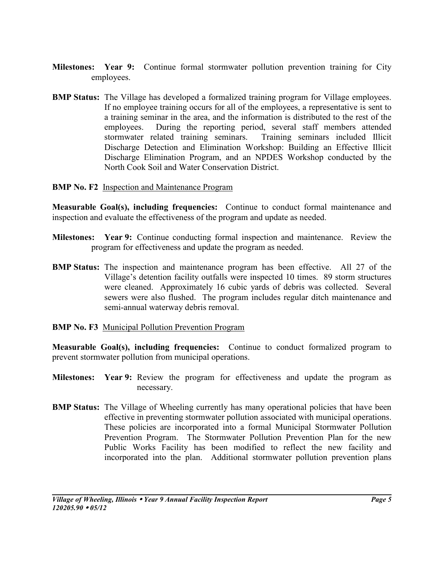- **Milestones: Year 9:** Continue formal stormwater pollution prevention training for City employees.
- **BMP Status:** The Village has developed a formalized training program for Village employees. If no employee training occurs for all of the employees, a representative is sent to a training seminar in the area, and the information is distributed to the rest of the employees. During the reporting period, several staff members attended stormwater related training seminars. Training seminars included Illicit Discharge Detection and Elimination Workshop: Building an Effective Illicit Discharge Elimination Program, and an NPDES Workshop conducted by the North Cook Soil and Water Conservation District.
- **BMP No. F2** Inspection and Maintenance Program

**Measurable Goal(s), including frequencies:** Continue to conduct formal maintenance and inspection and evaluate the effectiveness of the program and update as needed.

- **Milestones: Year 9:** Continue conducting formal inspection and maintenance. Review the program for effectiveness and update the program as needed.
- **BMP Status:** The inspection and maintenance program has been effective. All 27 of the Village's detention facility outfalls were inspected 10 times. 89 storm structures were cleaned. Approximately 16 cubic yards of debris was collected. Several sewers were also flushed. The program includes regular ditch maintenance and semi-annual waterway debris removal.
- **BMP No. F3** Municipal Pollution Prevention Program

**Measurable Goal(s), including frequencies:** Continue to conduct formalized program to prevent stormwater pollution from municipal operations.

- **Milestones: Year 9:** Review the program for effectiveness and update the program as necessary.
- **BMP Status:** The Village of Wheeling currently has many operational policies that have been effective in preventing stormwater pollution associated with municipal operations. These policies are incorporated into a formal Municipal Stormwater Pollution Prevention Program. The Stormwater Pollution Prevention Plan for the new Public Works Facility has been modified to reflect the new facility and incorporated into the plan. Additional stormwater pollution prevention plans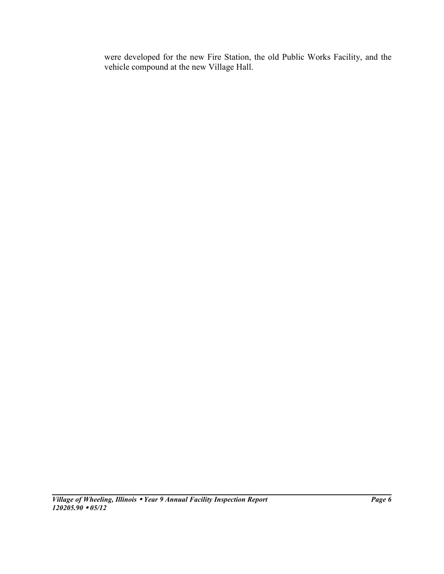were developed for the new Fire Station, the old Public Works Facility, and the vehicle compound at the new Village Hall.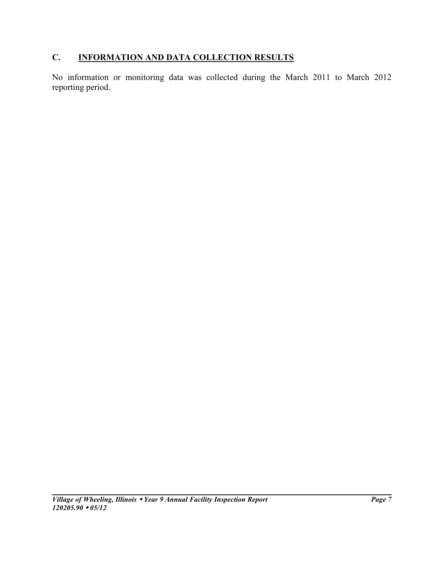# **C. INFORMATION AND DATA COLLECTION RESULTS**

No information or monitoring data was collected during the March 2011 to March 2012 reporting period.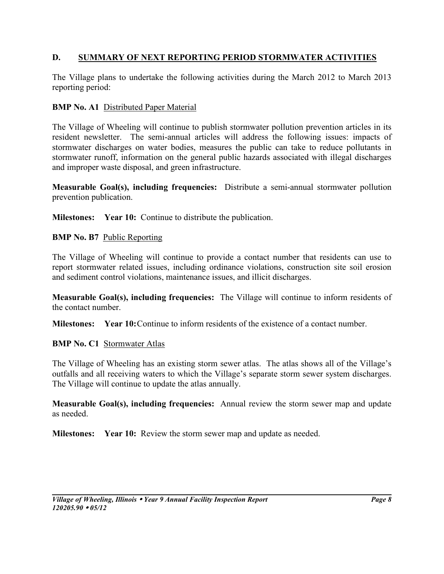### **D. SUMMARY OF NEXT REPORTING PERIOD STORMWATER ACTIVITIES**

The Village plans to undertake the following activities during the March 2012 to March 2013 reporting period:

#### **BMP No. A1 Distributed Paper Material**

The Village of Wheeling will continue to publish stormwater pollution prevention articles in its resident newsletter. The semi-annual articles will address the following issues: impacts of stormwater discharges on water bodies, measures the public can take to reduce pollutants in stormwater runoff, information on the general public hazards associated with illegal discharges and improper waste disposal, and green infrastructure.

**Measurable Goal(s), including frequencies:** Distribute a semi-annual stormwater pollution prevention publication.

**Milestones:** Year 10: Continue to distribute the publication.

#### **BMP No. B7** Public Reporting

The Village of Wheeling will continue to provide a contact number that residents can use to report stormwater related issues, including ordinance violations, construction site soil erosion and sediment control violations, maintenance issues, and illicit discharges.

**Measurable Goal(s), including frequencies:** The Village will continue to inform residents of the contact number.

**Milestones:** Year 10: Continue to inform residents of the existence of a contact number.

#### **BMP No. C1 Stormwater Atlas**

The Village of Wheeling has an existing storm sewer atlas. The atlas shows all of the Village's outfalls and all receiving waters to which the Village's separate storm sewer system discharges. The Village will continue to update the atlas annually.

**Measurable Goal(s), including frequencies:** Annual review the storm sewer map and update as needed.

**Milestones:** Year 10: Review the storm sewer map and update as needed.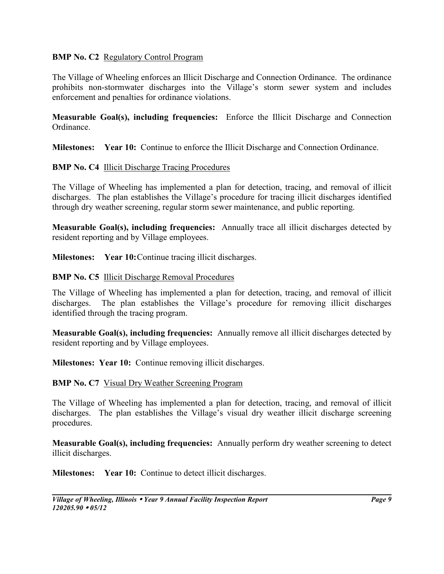#### **BMP No. C2** Regulatory Control Program

The Village of Wheeling enforces an Illicit Discharge and Connection Ordinance. The ordinance prohibits non-stormwater discharges into the Village's storm sewer system and includes enforcement and penalties for ordinance violations.

**Measurable Goal(s), including frequencies:** Enforce the Illicit Discharge and Connection Ordinance.

**Milestones: Year 10:** Continue to enforce the Illicit Discharge and Connection Ordinance.

#### **BMP No. C4 Illicit Discharge Tracing Procedures**

The Village of Wheeling has implemented a plan for detection, tracing, and removal of illicit discharges. The plan establishes the Village's procedure for tracing illicit discharges identified through dry weather screening, regular storm sewer maintenance, and public reporting.

**Measurable Goal(s), including frequencies:** Annually trace all illicit discharges detected by resident reporting and by Village employees.

**Milestones:** Year 10: Continue tracing illicit discharges.

#### **BMP No. C5** Illicit Discharge Removal Procedures

The Village of Wheeling has implemented a plan for detection, tracing, and removal of illicit discharges. The plan establishes the Village's procedure for removing illicit discharges identified through the tracing program.

**Measurable Goal(s), including frequencies:** Annually remove all illicit discharges detected by resident reporting and by Village employees.

**Milestones: Year 10:** Continue removing illicit discharges.

## **BMP No. C7** Visual Dry Weather Screening Program

The Village of Wheeling has implemented a plan for detection, tracing, and removal of illicit discharges. The plan establishes the Village's visual dry weather illicit discharge screening procedures.

**Measurable Goal(s), including frequencies:** Annually perform dry weather screening to detect illicit discharges.

**Milestones:** Year 10: Continue to detect illicit discharges.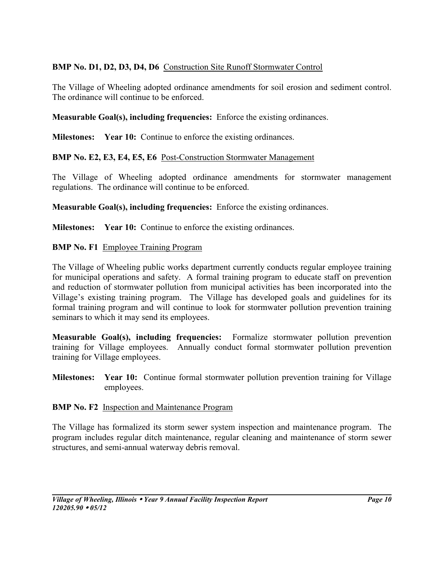# **BMP No. D1, D2, D3, D4, D6** Construction Site Runoff Stormwater Control

The Village of Wheeling adopted ordinance amendments for soil erosion and sediment control. The ordinance will continue to be enforced.

### **Measurable Goal(s), including frequencies:** Enforce the existing ordinances.

**Milestones:** Year 10: Continue to enforce the existing ordinances.

**BMP No. E2, E3, E4, E5, E6** Post-Construction Stormwater Management

The Village of Wheeling adopted ordinance amendments for stormwater management regulations. The ordinance will continue to be enforced.

**Measurable Goal(s), including frequencies:** Enforce the existing ordinances.

**Milestones:** Year 10: Continue to enforce the existing ordinances.

#### **BMP No. F1 Employee Training Program**

The Village of Wheeling public works department currently conducts regular employee training for municipal operations and safety. A formal training program to educate staff on prevention and reduction of stormwater pollution from municipal activities has been incorporated into the Village's existing training program. The Village has developed goals and guidelines for its formal training program and will continue to look for stormwater pollution prevention training seminars to which it may send its employees.

**Measurable Goal(s), including frequencies:** Formalize stormwater pollution prevention training for Village employees. Annually conduct formal stormwater pollution prevention training for Village employees.

**Milestones: Year 10:** Continue formal stormwater pollution prevention training for Village employees.

#### **BMP No. F2** Inspection and Maintenance Program

The Village has formalized its storm sewer system inspection and maintenance program. The program includes regular ditch maintenance, regular cleaning and maintenance of storm sewer structures, and semi-annual waterway debris removal.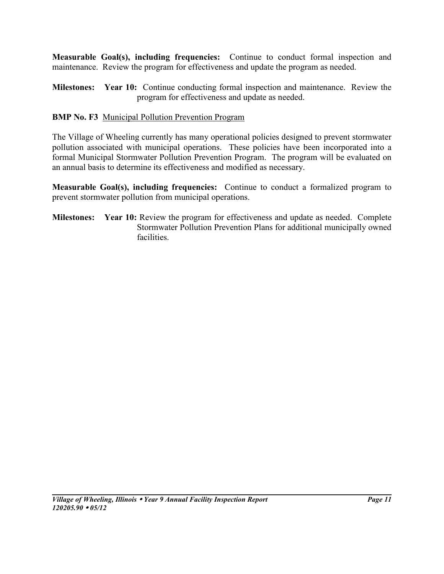**Measurable Goal(s), including frequencies:** Continue to conduct formal inspection and maintenance. Review the program for effectiveness and update the program as needed.

**Milestones: Year 10:** Continue conducting formal inspection and maintenance. Review the program for effectiveness and update as needed.

# **BMP No. F3** Municipal Pollution Prevention Program

The Village of Wheeling currently has many operational policies designed to prevent stormwater pollution associated with municipal operations. These policies have been incorporated into a formal Municipal Stormwater Pollution Prevention Program. The program will be evaluated on an annual basis to determine its effectiveness and modified as necessary.

**Measurable Goal(s), including frequencies:** Continue to conduct a formalized program to prevent stormwater pollution from municipal operations.

**Milestones:** Year 10: Review the program for effectiveness and update as needed. Complete Stormwater Pollution Prevention Plans for additional municipally owned facilities.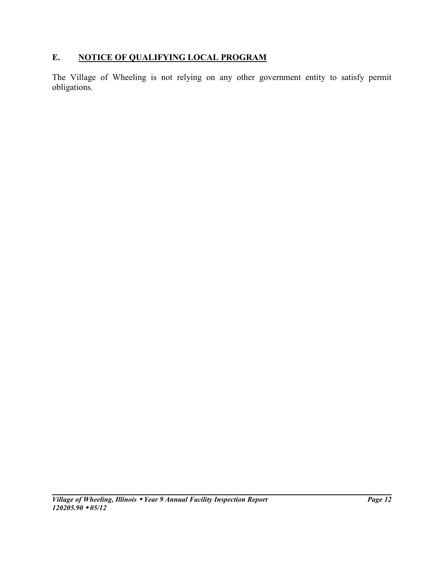# **E. NOTICE OF QUALIFYING LOCAL PROGRAM**

The Village of Wheeling is not relying on any other government entity to satisfy permit obligations.